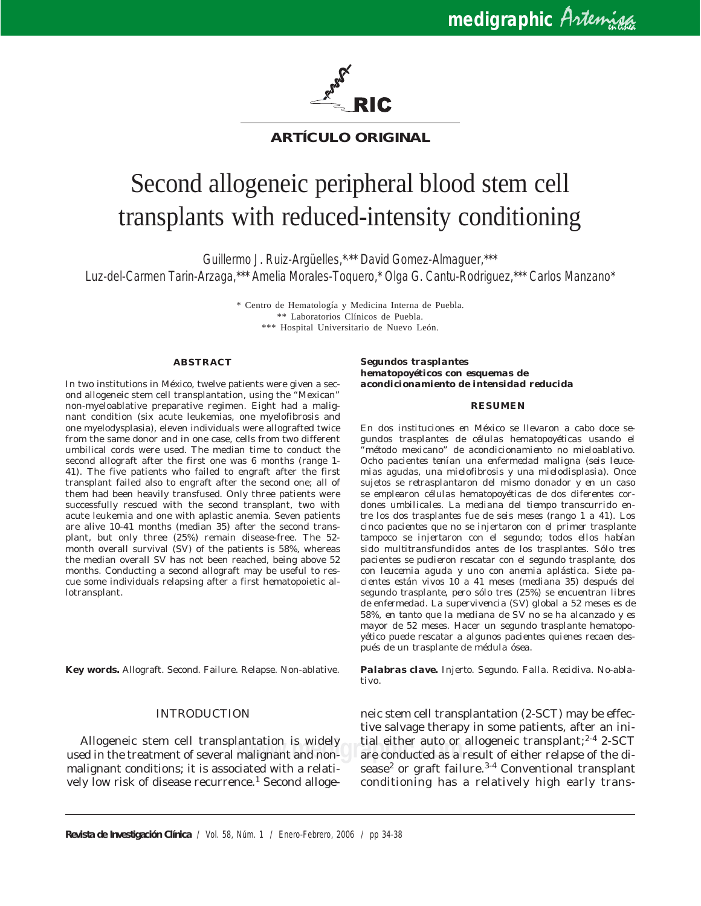

# **ARTÍCULO ORIGINAL**

# Second allogeneic peripheral blood stem cell transplants with reduced-intensity conditioning

Guillermo J. Ruiz-Argüelles,\*, \*\* David Gomez-Almaguer,\*\*\* Luz-del-Carmen Tarin-Arzaga,\*\*\* Amelia Morales-Toquero,\* Olga G. Cantu-Rodriguez,\*\*\* Carlos Manzano\*

> \* Centro de Hematología y Medicina Interna de Puebla. \*\* Laboratorios Clínicos de Puebla. \*\*\* Hospital Universitario de Nuevo León.

#### **ABSTRACT**

In two institutions in México, twelve patients were given a second allogeneic stem cell transplantation, using the "Mexican" non-myeloablative preparative regimen. Eight had a malignant condition (six acute leukemias, one myelofibrosis and one myelodysplasia), eleven individuals were allografted twice from the same donor and in one case, cells from two different umbilical cords were used. The median time to conduct the second allograft after the first one was 6 months (range 1- 41). The five patients who failed to engraft after the first transplant failed also to engraft after the second one; all of them had been heavily transfused. Only three patients were successfully rescued with the second transplant, two with acute leukemia and one with aplastic anemia. Seven patients are alive 10-41 months (median 35) after the second transplant, but only three (25%) remain disease-free. The 52 month overall survival (SV) of the patients is 58%, whereas the median overall SV has not been reached, being above 52 months. Conducting a second allograft may be useful to rescue some individuals relapsing after a first hematopoietic allotransplant.

**Key words.** Allograft. Second. Failure. Relapse. Non-ablative.

#### INTRODUCTION

Allogeneic stem cell transplantation is widely used in the treatment of several malignant and nonmalignant conditions; it is associated with a relatively low risk of disease recurrence.<sup>1</sup> Second alloge*Segundos trasplantes hematopoyéticos con esquemas de acondicionamiento de intensidad reducida*

#### *RESUMEN*

*En dos instituciones en México se llevaron a cabo doce segundos trasplantes de células hematopoyéticas usando el "método mexicano" de acondicionamiento no mieloablativo. Ocho pacientes tenían una enfermedad maligna (seis leucemias agudas, una mielofibrosis y una mielodisplasia). Once sujetos se retrasplantaron del mismo donador y en un caso se emplearon células hematopoyéticas de dos diferentes cordones umbilicales. La mediana del tiempo transcurrido entre los dos trasplantes fue de seis meses (rango 1 a 41). Los cinco pacientes que no se injertaron con el primer trasplante tampoco se injertaron con el segundo; todos ellos habían sido multitransfundidos antes de los trasplantes. Sólo tres pacientes se pudieron rescatar con el segundo trasplante, dos con leucemia aguda y uno con anemia aplástica. Siete pacientes están vivos 10 a 41 meses (mediana 35) después del segundo trasplante, pero sólo tres (25%) se encuentran libres de enfermedad. La supervivencia (SV) global a 52 meses es de 58%, en tanto que la mediana de SV no se ha alcanzado y es mayor de 52 meses. Hacer un segundo trasplante hematopoyético puede rescatar a algunos pacientes quienes recaen después de un trasplante de médula ósea.*

*Palabras clave. Injerto. Segundo. Falla. Recidiva. No-ablativo.*

antation is widely a till either auto or allogeneic transplant;<sup>2</sup> \* 2-SCT<br>malignant and non- are conducted as a result of either relapse of the dineic stem cell transplantation (2-SCT) may be effective salvage therapy in some patients, after an initial either auto or allogeneic transplant; $2-4$  2-SCT sease<sup>2</sup> or graft failure.<sup>3-4</sup> Conventional transplant conditioning has a relatively high early trans-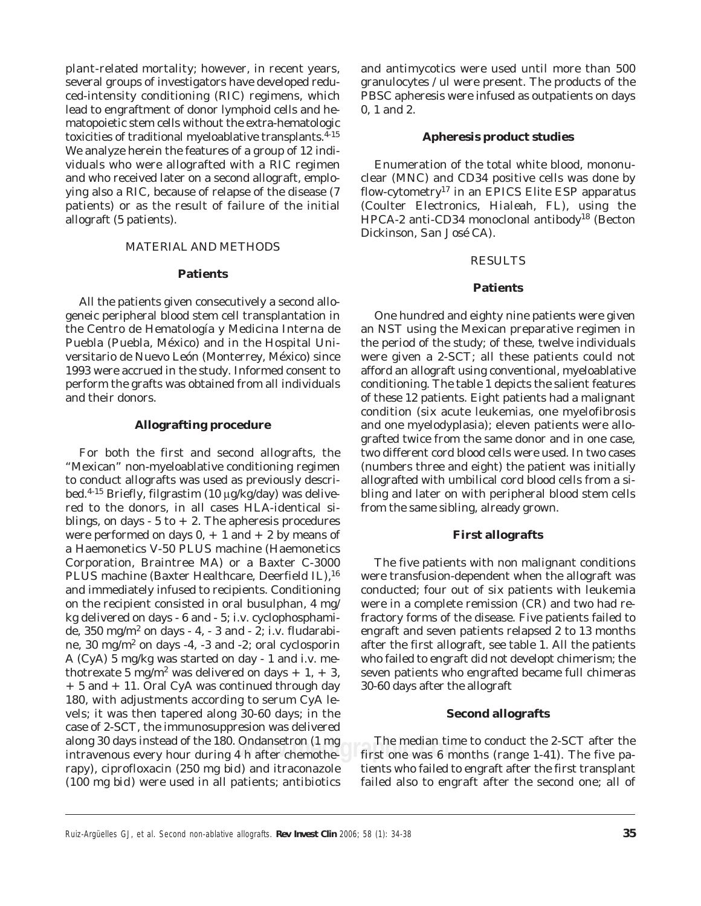plant-related mortality; however, in recent years, several groups of investigators have developed reduced-intensity conditioning (RIC) regimens, which lead to engraftment of donor lymphoid cells and hematopoietic stem cells without the extra-hematologic toxicities of traditional myeloablative transplants.<sup>4-15</sup> We analyze herein the features of a group of 12 individuals who were allografted with a RIC regimen and who received later on a second allograft, employing also a RIC, because of relapse of the disease (7 patients) or as the result of failure of the initial allograft (5 patients).

# MATERIAL AND METHODS

#### **Patients**

All the patients given consecutively a second allogeneic peripheral blood stem cell transplantation in the Centro de Hematología y Medicina Interna de Puebla (Puebla, México) and in the Hospital Universitario de Nuevo León (Monterrey, México) since 1993 were accrued in the study. Informed consent to perform the grafts was obtained from all individuals and their donors.

#### **Allografting procedure**

For both the first and second allografts, the "Mexican" non-myeloablative conditioning regimen to conduct allografts was used as previously described.4-15 Briefly, filgrastim (10 μg/kg/day) was delivered to the donors, in all cases HLA-identical siblings, on days  $-5$  to  $+2$ . The apheresis procedures were performed on days  $0, + 1$  and  $+ 2$  by means of a Haemonetics V-50 PLUS machine (Haemonetics Corporation, Braintree MA) or a Baxter C-3000 PLUS machine (Baxter Healthcare, Deerfield IL),<sup>16</sup> and immediately infused to recipients. Conditioning on the recipient consisted in oral busulphan, 4 mg/ kg delivered on days - 6 and - 5; i.v. cyclophosphamide,  $350 \text{ mg/m}^2$  on days - 4, - 3 and - 2; i.v. fludarabine,  $30 \text{ mg/m}^2$  on days -4, -3 and -2; oral cyclosporin A (CyA)  $\bar{5}$  mg/kg was started on day - 1 and i.v. methotrexate 5 mg/m<sup>2</sup> was delivered on days + 1, + 3, + 5 and + 11. Oral CyA was continued through day 180, with adjustments according to serum CyA levels; it was then tapered along 30-60 days; in the case of 2-SCT, the immunosuppresion was delivered along 30 days instead of the 180. Ondansetron (1 mg intravenous every hour during 4 h after chemotherapy), ciprofloxacin (250 mg *bid*) and itraconazole (100 mg *bid*) were used in all patients; antibiotics

and antimycotics were used until more than 500 granulocytes / ul were present. The products of the PBSC apheresis were infused as outpatients on days 0, 1 and 2.

#### **Apheresis product studies**

Enumeration of the total white blood, mononuclear (MNC) and CD34 positive cells was done by flow-cytometry17 in an EPICS Elite ESP apparatus (Coulter Electronics, *Hialeah, FL*), using the HPCA-2 anti-CD34 monoclonal antibody<sup>18</sup> (Becton Dickinson, *San José CA*).

#### RESULTS

#### **Patients**

One hundred and eighty nine patients were given an NST using the Mexican preparative regimen in the period of the study; of these, twelve individuals were given a 2-SCT; all these patients could not afford an allograft using conventional, myeloablative conditioning. The table 1 depicts the salient features of these 12 patients. Eight patients had a malignant condition (six acute leukemias, one myelofibrosis and one myelodyplasia); eleven patients were allografted twice from the same donor and in one case, two different cord blood cells were used. In two cases (numbers three and eight) the patient was initially allografted with umbilical cord blood cells from a sibling and later on with peripheral blood stem cells from the same sibling, already grown.

## **First allografts**

The five patients with non malignant conditions were transfusion-dependent when the allograft was conducted; four out of six patients with leukemia were in a complete remission (CR) and two had refractory forms of the disease. Five patients failed to engraft and seven patients relapsed 2 to 13 months after the first allograft, see table 1. All the patients who failed to engraft did not developt chimerism; the seven patients who engrafted became full chimeras 30-60 days after the allograft

### **Second allografts**

**www.medigraphic.com** first one was 6 months (range 1-41). The five pa-The median time to conduct the 2-SCT after the tients who failed to engraft after the first transplant failed also to engraft after the second one; all of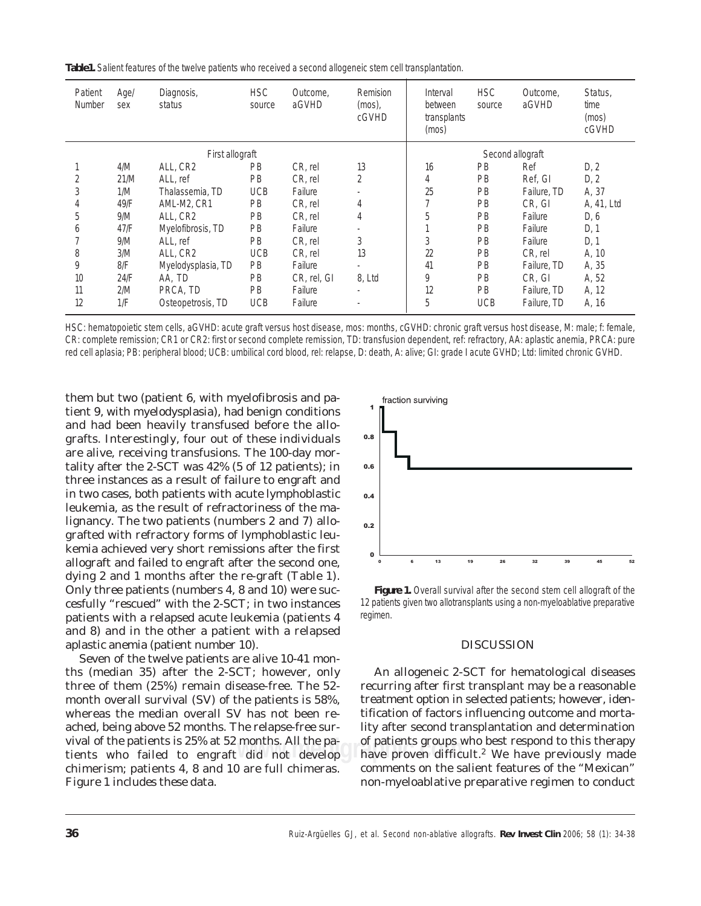**Table1.** Salient features of the twelve patients who received a second allogeneic stem cell transplantation.

| Patient<br>Number | Age/<br>sex | Diagnosis,<br>status | <b>HSC</b><br>source | Outcome,<br>aGVHD | Remision<br>$(mos)$ ,<br>cGVHD | Interval<br>between<br>transplants<br>(mos) | <b>HSC</b><br>source | Outcome,<br>aGVHD | Status,<br>time<br>(mos)<br>cGVHD |
|-------------------|-------------|----------------------|----------------------|-------------------|--------------------------------|---------------------------------------------|----------------------|-------------------|-----------------------------------|
| First allograft   |             |                      |                      |                   |                                | Second allograft                            |                      |                   |                                   |
|                   | 4/M         | ALL, CR2             | <b>PB</b>            | CR, rel           | 13                             | 16                                          | PB                   | Ref               | D, 2                              |
| 2                 | 21/M        | ALL, ref             | PB                   | CR, rel           | 2                              | 4                                           | PB                   | Ref, GI           | D, 2                              |
| 3                 | 1/M         | Thalassemia, TD      | <b>UCB</b>           | Failure           |                                | 25                                          | PB                   | Failure, TD       | A, 37                             |
| 4                 | 49/F        | AML-M2, CR1          | <b>PB</b>            | CR, rel           | 4                              | 7                                           | PB                   | CR, GI            | A, 41, Ltd                        |
| 5                 | 9/M         | ALL, CR2             | <b>PB</b>            | CR, rel           | 4                              | 5                                           | PB                   | Failure           | D, 6                              |
| 6                 | 47/F        | Myelofibrosis, TD    | <b>PB</b>            | Failure           |                                |                                             | PB                   | Failure           | D, 1                              |
|                   | 9/M         | ALL, ref             | <b>PB</b>            | CR, rel           | 3                              | 3                                           | PB                   | Failure           | D, 1                              |
| 8                 | 3/M         | ALL, CR2             | <b>UCB</b>           | CR, rel           | 13                             | 22                                          | PB                   | CR, rel           | A, 10                             |
| 9                 | 8/F         | Myelodysplasia, TD   | <b>PB</b>            | Failure           |                                | 41                                          | PB                   | Failure, TD       | A, 35                             |
| 10                | 24/F        | AA, TD               | <b>PB</b>            | CR, rel, GI       | 8, Ltd                         | 9                                           | PB                   | CR. GI            | A, 52                             |
| 11                | 2/M         | PRCA, TD             | <b>PB</b>            | Failure           | $\overline{\phantom{a}}$       | 12                                          | <b>PB</b>            | Failure, TD       | A, 12                             |
| 12                | 1/F         | Osteopetrosis, TD    | <b>UCB</b>           | Failure           | ٠                              | 5                                           | <b>UCB</b>           | Failure, TD       | A, 16                             |

HSC: hematopoietic stem cells, aGVHD: acute graft *versus* host disease, mos: months, cGVHD: chronic graft *versus* host disease, M: male; f: female, CR: complete remission; CR1 or CR2: first or second complete remission, TD: transfusion dependent, ref: refractory, AA: aplastic anemia, PRCA: pure red cell aplasia; PB: peripheral blood; UCB: umbilical cord blood, rel: relapse, D: death, A: alive; GI: grade I acute GVHD; Ltd: limited chronic GVHD.

lignancy. The two patients (numbers 2 and 7) allothem but two (patient 6, with myelofibrosis and patient 9, with myelodysplasia), had benign conditions and had been heavily transfused before the allografts. Interestingly, four out of these individuals are alive, receiving transfusions. The 100-day mortality after the 2-SCT was 42% (5 of 12 patients); in three instances as a result of failure to engraft and in two cases, both patients with acute lymphoblastic leukemia, as the result of refractoriness of the magrafted with refractory forms of lymphoblastic leukemia achieved very short remissions after the first allograft and failed to engraft after the second one, dying 2 and 1 months after the re-graft (Table 1). Only three patients (numbers 4, 8 and 10) were succesfully "rescued" with the 2-SCT; in two instances patients with a relapsed acute leukemia (patients 4 and 8) and in the other a patient with a relapsed aplastic anemia (patient number 10).

Seven of the twelve patients are alive 10-41 months (median 35) after the 2-SCT; however, only three of them (25%) remain disease-free. The 52 month overall survival (SV) of the patients is 58%, whereas the median overall SV has not been reached, being above 52 months. The relapse-free survival of the patients is 25% at 52 months. All the patients who failed to engraft did not develop chimerism; patients 4, 8 and 10 are full chimeras. Figure 1 includes these data.



*Figure 1. Overall survival after the second stem cell allograft of the 12 patients given two allotransplants using a non-myeloablative preparative regimen.*

# **DISCUSSION**

months. All the pa-<br>did not develop have proven difficult.<sup>2</sup> We have previously made An allogeneic 2-SCT for hematological diseases recurring after first transplant may be a reasonable treatment option in selected patients; however, identification of factors influencing outcome and mortality after second transplantation and determination of patients groups who best respond to this therapy comments on the salient features of the "Mexican" non-myeloablative preparative regimen to conduct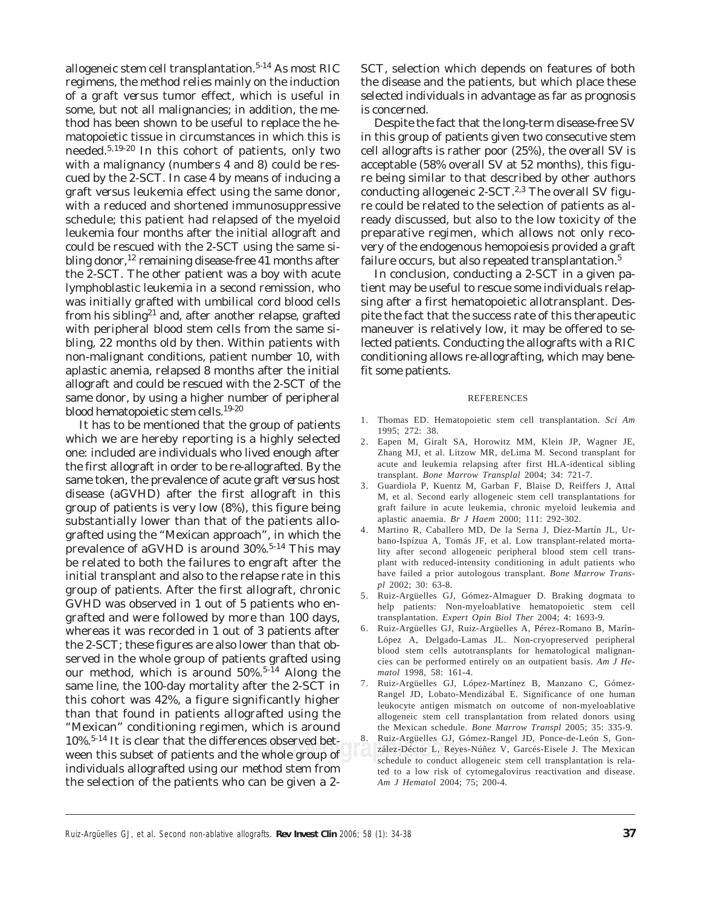allogeneic stem cell transplantation.<sup>5-14</sup> As most RIC regimens, the method relies mainly on the induction of a graft *versus* tumor effect, which is useful in some, but not all malignancies; in addition, the method has been shown to be useful to replace the hematopoietic tissue in circumstances in which this is needed.5,19-20 In this cohort of patients, only two with a malignancy (numbers 4 and 8) could be rescued by the 2-SCT. In case 4 by means of inducing a graft *versus* leukemia effect using the same donor, with a reduced and shortened immunosuppressive schedule; this patient had relapsed of the myeloid leukemia four months after the initial allograft and could be rescued with the 2-SCT using the same sibling donor,  $12$  remaining disease-free 41 months after the 2-SCT. The other patient was a boy with acute lymphoblastic leukemia in a second remission, who was initially grafted with umbilical cord blood cells from his sibling<sup>21</sup> and, after another relapse, grafted with peripheral blood stem cells from the same sibling, 22 months old by then. Within patients with non-malignant conditions, patient number 10, with aplastic anemia, relapsed 8 months after the initial allograft and could be rescued with the 2-SCT of the same donor, by using a higher number of peripheral blood hematopoietic stem cells.19-20

**TO%.** The subset of patients and the whole group of this subset of patients and the whole group of the schedule to conduct It has to be mentioned that the group of patients which we are hereby reporting is a highly selected one: included are individuals who lived enough after the first allograft in order to be re-allografted. By the same token, the prevalence of acute graft *versus* host disease (aGVHD) after the first allograft in this group of patients is very low (8%), this figure being substantially lower than that of the patients allografted using the "Mexican approach", in which the prevalence of aGVHD is around  $30\%$ .<sup>5-14</sup> This may be related to both the failures to engraft after the initial transplant and also to the relapse rate in this group of patients. After the first allograft, chronic GVHD was observed in 1 out of 5 patients who engrafted and were followed by more than 100 days, whereas it was recorded in 1 out of 3 patients after the 2-SCT; these figures are also lower than that observed in the whole group of patients grafted using our method, which is around  $50\%$ .<sup>5-14</sup> Along the same line, the 100-day mortality after the 2-SCT in this cohort was 42%, a figure significantly higher than that found in patients allografted using the "Mexican" conditioning regimen, which is around 10%.5-14 It is clear that the differences observed betindividuals allografted using our method stem from the selection of the patients who can be given a 2-

SCT, selection which depends on features of both the disease and the patients, but which place these selected individuals in advantage as far as prognosis is concerned.

Despite the fact that the long-term disease-free SV in this group of patients given two consecutive stem cell allografts is rather poor (25%), the overall SV is acceptable (58% overall SV at 52 months), this figure being similar to that described by other authors conducting allogeneic 2-SCT. $2,3$  The overall SV figure could be related to the selection of patients as already discussed, but also to the low toxicity of the preparative regimen, which allows not only recovery of the endogenous hemopoiesis provided a graft failure occurs, but also repeated transplantation.<sup>5</sup>

In conclusion, conducting a 2-SCT in a given patient may be useful to rescue some individuals relapsing after a first hematopoietic allotransplant. Despite the fact that the success rate of this therapeutic maneuver is relatively low, it may be offered to selected patients. Conducting the allografts with a RIC conditioning allows re-allografting, which may benefit some patients.

#### REFERENCES

- 1. Thomas ED. Hematopoietic stem cell transplantation. *Sci Am* 1995; 272: 38.
- 2. Eapen M, Giralt SA, Horowitz MM, Klein JP, Wagner JE, Zhang MJ, et al. Litzow MR, deLima M. Second transplant for acute and leukemia relapsing after first HLA-identical sibling transplant. *Bone Marrow Transplal* 2004; 34: 721-7.
- 3. Guardiola P, Kuentz M, Garban F, Blaise D, Reiffers J, Attal M, et al. Second early allogeneic stem cell transplantations for graft failure in acute leukemia, chronic myeloid leukemia and aplastic anaemia. *Br J Haem* 2000; 111: 292-302.
- 4. Martino R, Caballero MD, De la Serna J, Díez-Martín JL, Urbano-Ispízua A, Tomás JF, et al. Low transplant-related mortality after second allogeneic peripheral blood stem cell transplant with reduced-intensity conditioning in adult patients who have failed a prior autologous transplant. *Bone Marrow Transpl* 2002; 30: 63-8.
- 5. Ruiz-Argüelles GJ, Gómez-Almaguer D. Braking dogmata to help patients: Non-myeloablative hematopoietic stem cell transplantation. *Expert Opin Biol Ther* 2004; 4: 1693-9*.*
- 6. Ruiz-Argüelles GJ, Ruiz-Argüelles A, Pérez-Romano B, Marín-López A, Delgado-Lamas JL. Non-cryopreserved peripheral blood stem cells autotransplants for hematological malignancies can be performed entirely on an outpatient basis. *Am J Hematol* 1998, 58: 161-4.
- 7. Ruiz-Argüelles GJ, López-Martínez B, Manzano C, Gómez-Rangel JD, Lobato-Mendizábal E. Significance of one human leukocyte antigen mismatch on outcome of non-myeloablative allogeneic stem cell transplantation from related donors using the Mexican schedule. *Bone Marrow Transpl* 2005; 35: 335-9.
- 8. Ruiz-Argüelles GJ, Gómez-Rangel JD, Ponce-de-León S, González-Déctor L, Reyes-Núñez V, Garcés-Eisele J. The Mexican schedule to conduct allogeneic stem cell transplantation is related to a low risk of cytomegalovirus reactivation and disease. *Am J Hematol* 2004; 75; 200-4.